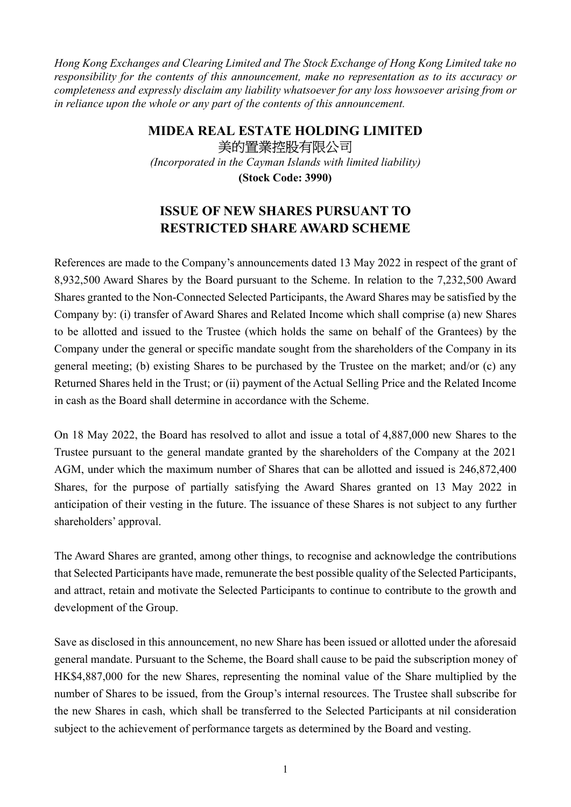Hong Kong Exchanges and Clearing Limited and The Stock Exchange of Hong Kong Limited take no responsibility for the contents of this announcement, make no representation as to its accuracy or completeness and expressly disclaim any liability whatsoever for any loss howsoever arising from or in reliance upon the whole or any part of the contents of this announcement.

## MIDEA REAL ESTATE HOLDING LIMITED 美的置業控股有限公司

(Incorporated in the Cayman Islands with limited liability)

(Stock Code: 3990)

## ISSUE OF NEW SHARES PURSUANT TO RESTRICTED SHARE AWARD SCHEME

References are made to the Company's announcements dated 13 May 2022 in respect of the grant of 8,932,500 Award Shares by the Board pursuant to the Scheme. In relation to the 7,232,500 Award Shares granted to the Non-Connected Selected Participants, the Award Shares may be satisfied by the Company by: (i) transfer of Award Shares and Related Income which shall comprise (a) new Shares to be allotted and issued to the Trustee (which holds the same on behalf of the Grantees) by the Company under the general or specific mandate sought from the shareholders of the Company in its general meeting; (b) existing Shares to be purchased by the Trustee on the market; and/or (c) any Returned Shares held in the Trust; or (ii) payment of the Actual Selling Price and the Related Income in cash as the Board shall determine in accordance with the Scheme.

On 18 May 2022, the Board has resolved to allot and issue a total of 4,887,000 new Shares to the Trustee pursuant to the general mandate granted by the shareholders of the Company at the 2021 AGM, under which the maximum number of Shares that can be allotted and issued is 246,872,400 Shares, for the purpose of partially satisfying the Award Shares granted on 13 May 2022 in anticipation of their vesting in the future. The issuance of these Shares is not subject to any further shareholders' approval.

The Award Shares are granted, among other things, to recognise and acknowledge the contributions that Selected Participants have made, remunerate the best possible quality of the Selected Participants, and attract, retain and motivate the Selected Participants to continue to contribute to the growth and development of the Group.

Save as disclosed in this announcement, no new Share has been issued or allotted under the aforesaid general mandate. Pursuant to the Scheme, the Board shall cause to be paid the subscription money of HK\$4,887,000 for the new Shares, representing the nominal value of the Share multiplied by the number of Shares to be issued, from the Group's internal resources. The Trustee shall subscribe for the new Shares in cash, which shall be transferred to the Selected Participants at nil consideration subject to the achievement of performance targets as determined by the Board and vesting.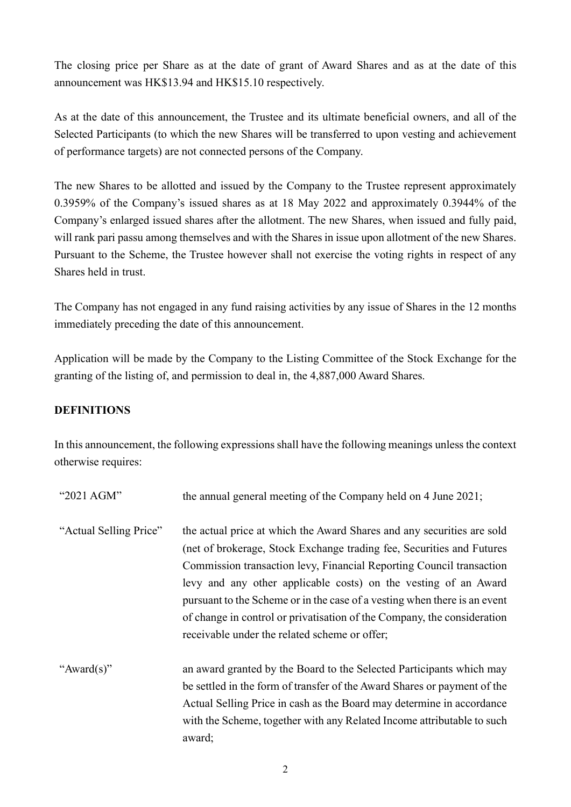The closing price per Share as at the date of grant of Award Shares and as at the date of this announcement was HK\$13.94 and HK\$15.10 respectively.

As at the date of this announcement, the Trustee and its ultimate beneficial owners, and all of the Selected Participants (to which the new Shares will be transferred to upon vesting and achievement of performance targets) are not connected persons of the Company.

The new Shares to be allotted and issued by the Company to the Trustee represent approximately 0.3959% of the Company's issued shares as at 18 May 2022 and approximately 0.3944% of the Company's enlarged issued shares after the allotment. The new Shares, when issued and fully paid, will rank pari passu among themselves and with the Shares in issue upon allotment of the new Shares. Pursuant to the Scheme, the Trustee however shall not exercise the voting rights in respect of any Shares held in trust.

The Company has not engaged in any fund raising activities by any issue of Shares in the 12 months immediately preceding the date of this announcement.

Application will be made by the Company to the Listing Committee of the Stock Exchange for the granting of the listing of, and permission to deal in, the 4,887,000 Award Shares.

## DEFINITIONS

In this announcement, the following expressions shall have the following meanings unless the context otherwise requires:

| "2021 AGM"             | the annual general meeting of the Company held on 4 June 2021;                                                                                                                                                                                                                                                                                                                                                                                                                                      |
|------------------------|-----------------------------------------------------------------------------------------------------------------------------------------------------------------------------------------------------------------------------------------------------------------------------------------------------------------------------------------------------------------------------------------------------------------------------------------------------------------------------------------------------|
| "Actual Selling Price" | the actual price at which the Award Shares and any securities are sold<br>(net of brokerage, Stock Exchange trading fee, Securities and Futures<br>Commission transaction levy, Financial Reporting Council transaction<br>levy and any other applicable costs) on the vesting of an Award<br>pursuant to the Scheme or in the case of a vesting when there is an event<br>of change in control or privatisation of the Company, the consideration<br>receivable under the related scheme or offer; |
| "Award(s)"             | an award granted by the Board to the Selected Participants which may<br>be settled in the form of transfer of the Award Shares or payment of the<br>Actual Selling Price in cash as the Board may determine in accordance<br>with the Scheme, together with any Related Income attributable to such<br>award;                                                                                                                                                                                       |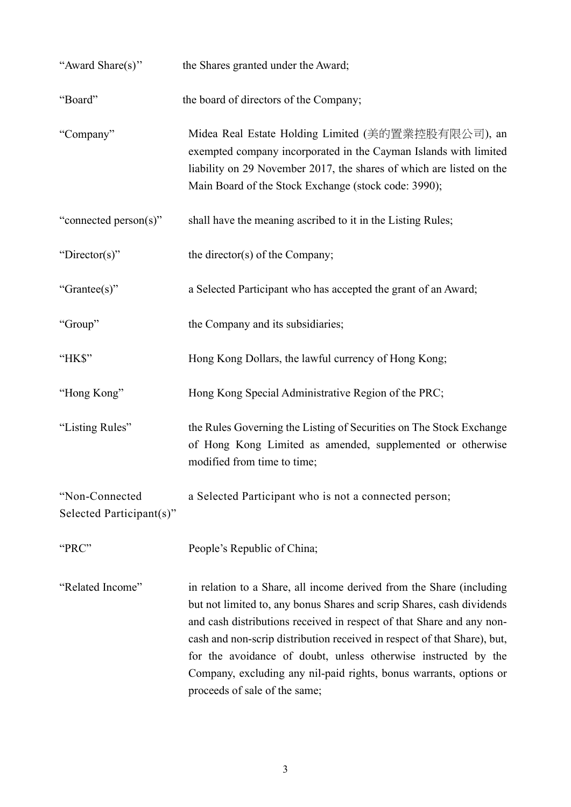| "Award Share(s)"                           | the Shares granted under the Award;                                                                                                                                                                                                                                                                                                                                                                                                                                         |
|--------------------------------------------|-----------------------------------------------------------------------------------------------------------------------------------------------------------------------------------------------------------------------------------------------------------------------------------------------------------------------------------------------------------------------------------------------------------------------------------------------------------------------------|
| "Board"                                    | the board of directors of the Company;                                                                                                                                                                                                                                                                                                                                                                                                                                      |
| "Company"                                  | Midea Real Estate Holding Limited (美的置業控股有限公司), an<br>exempted company incorporated in the Cayman Islands with limited<br>liability on 29 November 2017, the shares of which are listed on the<br>Main Board of the Stock Exchange (stock code: 3990);                                                                                                                                                                                                                      |
| "connected person(s)"                      | shall have the meaning ascribed to it in the Listing Rules;                                                                                                                                                                                                                                                                                                                                                                                                                 |
| "Director(s)"                              | the director(s) of the Company;                                                                                                                                                                                                                                                                                                                                                                                                                                             |
| "Grantee(s)"                               | a Selected Participant who has accepted the grant of an Award;                                                                                                                                                                                                                                                                                                                                                                                                              |
| "Group"                                    | the Company and its subsidiaries;                                                                                                                                                                                                                                                                                                                                                                                                                                           |
| "HK\$"                                     | Hong Kong Dollars, the lawful currency of Hong Kong;                                                                                                                                                                                                                                                                                                                                                                                                                        |
| "Hong Kong"                                | Hong Kong Special Administrative Region of the PRC;                                                                                                                                                                                                                                                                                                                                                                                                                         |
| "Listing Rules"                            | the Rules Governing the Listing of Securities on The Stock Exchange<br>of Hong Kong Limited as amended, supplemented or otherwise<br>modified from time to time;                                                                                                                                                                                                                                                                                                            |
| "Non-Connected<br>Selected Participant(s)" | a Selected Participant who is not a connected person;                                                                                                                                                                                                                                                                                                                                                                                                                       |
| "PRC"                                      | People's Republic of China;                                                                                                                                                                                                                                                                                                                                                                                                                                                 |
| "Related Income"                           | in relation to a Share, all income derived from the Share (including<br>but not limited to, any bonus Shares and scrip Shares, cash dividends<br>and cash distributions received in respect of that Share and any non-<br>cash and non-scrip distribution received in respect of that Share), but,<br>for the avoidance of doubt, unless otherwise instructed by the<br>Company, excluding any nil-paid rights, bonus warrants, options or<br>proceeds of sale of the same; |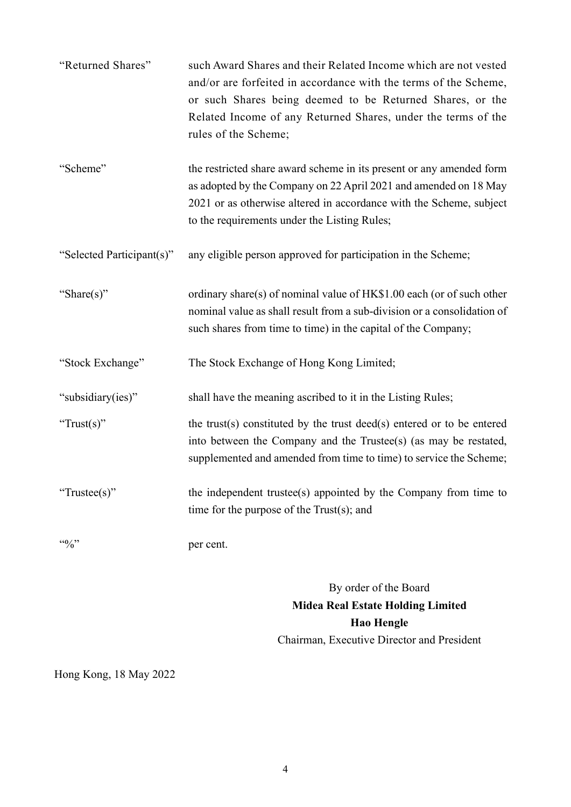| "Returned Shares"               | such Award Shares and their Related Income which are not vested<br>and/or are forfeited in accordance with the terms of the Scheme,<br>or such Shares being deemed to be Returned Shares, or the<br>Related Income of any Returned Shares, under the terms of the<br>rules of the Scheme; |
|---------------------------------|-------------------------------------------------------------------------------------------------------------------------------------------------------------------------------------------------------------------------------------------------------------------------------------------|
| "Scheme"                        | the restricted share award scheme in its present or any amended form<br>as adopted by the Company on 22 April 2021 and amended on 18 May<br>2021 or as otherwise altered in accordance with the Scheme, subject<br>to the requirements under the Listing Rules;                           |
| "Selected Participant(s)"       | any eligible person approved for participation in the Scheme;                                                                                                                                                                                                                             |
| "Share(s)"                      | ordinary share(s) of nominal value of HK\$1.00 each (or of such other<br>nominal value as shall result from a sub-division or a consolidation of<br>such shares from time to time) in the capital of the Company;                                                                         |
| "Stock Exchange"                | The Stock Exchange of Hong Kong Limited;                                                                                                                                                                                                                                                  |
| "subsidiary(ies)"               | shall have the meaning ascribed to it in the Listing Rules;                                                                                                                                                                                                                               |
| "Trust(s)"                      | the trust(s) constituted by the trust deed(s) entered or to be entered<br>into between the Company and the Trustee(s) (as may be restated,<br>supplemented and amended from time to time) to service the Scheme;                                                                          |
| "Trustee(s)"                    | the independent trustee(s) appointed by the Company from time to<br>time for the purpose of the $Trust(s);$ and                                                                                                                                                                           |
| $\cdot \cdot \cdot \cdot \cdot$ | per cent.                                                                                                                                                                                                                                                                                 |
|                                 | By order of the Board                                                                                                                                                                                                                                                                     |

Midea Real Estate Holding Limited Hao Hengle Chairman, Executive Director and President

Hong Kong, 18 May 2022